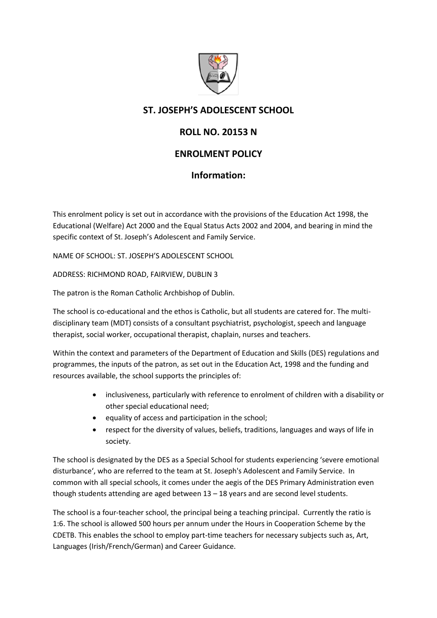

## **ST. JOSEPH'S ADOLESCENT SCHOOL**

# **ROLL NO. 20153 N**

## **ENROLMENT POLICY**

### **Information:**

This enrolment policy is set out in accordance with the provisions of the Education Act 1998, the Educational (Welfare) Act 2000 and the Equal Status Acts 2002 and 2004, and bearing in mind the specific context of St. Joseph's Adolescent and Family Service.

NAME OF SCHOOL: ST. JOSEPH'S ADOLESCENT SCHOOL

ADDRESS: RICHMOND ROAD, FAIRVIEW, DUBLIN 3

The patron is the Roman Catholic Archbishop of Dublin.

The school is co-educational and the ethos is Catholic, but all students are catered for. The multidisciplinary team (MDT) consists of a consultant psychiatrist, psychologist, speech and language therapist, social worker, occupational therapist, chaplain, nurses and teachers.

Within the context and parameters of the Department of Education and Skills (DES) regulations and programmes, the inputs of the patron, as set out in the Education Act, 1998 and the funding and resources available, the school supports the principles of:

- inclusiveness, particularly with reference to enrolment of children with a disability or other special educational need;
- equality of access and participation in the school;
- respect for the diversity of values, beliefs, traditions, languages and ways of life in society.

The school is designated by the DES as a Special School for students experiencing 'severe emotional disturbance', who are referred to the team at St. Joseph's Adolescent and Family Service. In common with all special schools, it comes under the aegis of the DES Primary Administration even though students attending are aged between 13 – 18 years and are second level students.

The school is a four-teacher school, the principal being a teaching principal. Currently the ratio is 1:6. The school is allowed 500 hours per annum under the Hours in Cooperation Scheme by the CDETB. This enables the school to employ part-time teachers for necessary subjects such as, Art, Languages (Irish/French/German) and Career Guidance.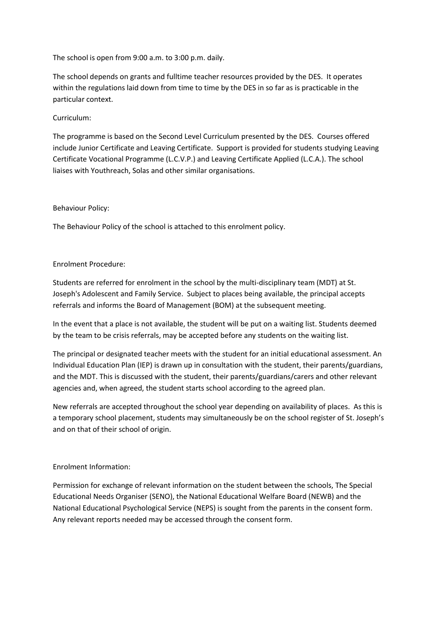The school is open from 9:00 a.m. to 3:00 p.m. daily.

The school depends on grants and fulltime teacher resources provided by the DES. It operates within the regulations laid down from time to time by the DES in so far as is practicable in the particular context.

### Curriculum:

The programme is based on the Second Level Curriculum presented by the DES. Courses offered include Junior Certificate and Leaving Certificate. Support is provided for students studying Leaving Certificate Vocational Programme (L.C.V.P.) and Leaving Certificate Applied (L.C.A.). The school liaises with Youthreach, Solas and other similar organisations.

#### Behaviour Policy:

The Behaviour Policy of the school is attached to this enrolment policy.

#### Enrolment Procedure:

Students are referred for enrolment in the school by the multi-disciplinary team (MDT) at St. Joseph's Adolescent and Family Service. Subject to places being available, the principal accepts referrals and informs the Board of Management (BOM) at the subsequent meeting.

In the event that a place is not available, the student will be put on a waiting list. Students deemed by the team to be crisis referrals, may be accepted before any students on the waiting list.

The principal or designated teacher meets with the student for an initial educational assessment. An Individual Education Plan (IEP) is drawn up in consultation with the student, their parents/guardians, and the MDT. This is discussed with the student, their parents/guardians/carers and other relevant agencies and, when agreed, the student starts school according to the agreed plan.

New referrals are accepted throughout the school year depending on availability of places. As this is a temporary school placement, students may simultaneously be on the school register of St. Joseph's and on that of their school of origin.

#### Enrolment Information:

Permission for exchange of relevant information on the student between the schools, The Special Educational Needs Organiser (SENO), the National Educational Welfare Board (NEWB) and the National Educational Psychological Service (NEPS) is sought from the parents in the consent form. Any relevant reports needed may be accessed through the consent form.